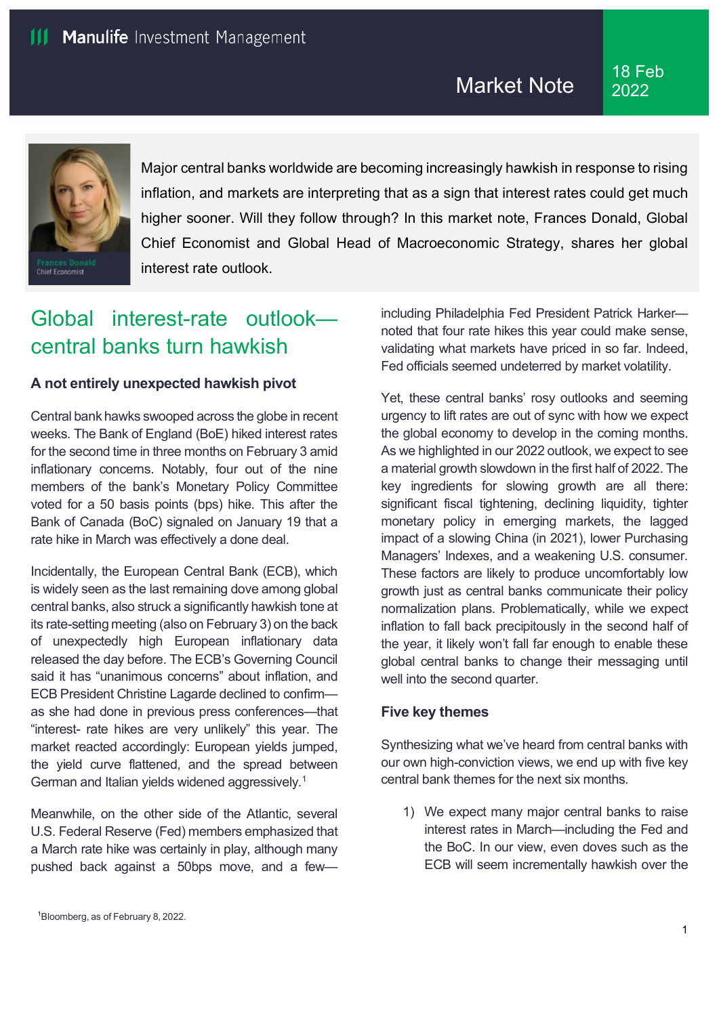

Major central banks worldwide are becoming increasingly hawkish in response to rising inflation, and markets are interpreting that as a sign that interest rates could get much higher sooner. Will they follow through? In this market note, Frances Donald, Global Chief Economist and Global Head of Macroeconomic Strategy, shares her global interest rate outlook.

# Global interest-rate outlook central banks turn hawkish

## **A not entirely unexpected hawkish pivot**

Central bank hawks swooped across the globe in recent weeks. The Bank of England (BoE) hiked interest rates for the [second](https://www.bankofengland.co.uk/monetary-policy-summary-and-minutes/2022/february-2022) [time](https://www.bankofengland.co.uk/monetary-policy-summary-and-minutes/2022/february-2022) in three months on February 3 amid inflationary concerns. Notably, four out of the nine members of the bank's Monetary Policy Committee voted for a 50 basis points (bps) hike. This after the Bank of Canada (BoC) [signaled](https://www.bankofcanada.ca/2022/01/opening-statement-260122/) [o](https://www.bankofcanada.ca/2022/01/opening-statement-260122/)n January 19 that a rate hike in March was effectively [a](https://preview-tmp.jhinvestments.com/content/mim-institutional/master/en/viewpoints/market-outlook/why-bank-of-canada-decide-against-raising-rates-january.html) [done](https://preview-tmp.jhinvestments.com/content/mim-institutional/master/en/viewpoints/market-outlook/why-bank-of-canada-decide-against-raising-rates-january.html) [deal.](https://preview-tmp.jhinvestments.com/content/mim-institutional/master/en/viewpoints/market-outlook/why-bank-of-canada-decide-against-raising-rates-january.html)

Incidentally, the European Central Bank (ECB), which is widely seen as the last remaining dove among global central banks, also struck a significantly hawkish tone at its rate-setting meeting (also on February 3) on the back of unexpectedly high [European](https://ec.europa.eu/eurostat/documents/2995521/14233881/2-02022022-AP-EN.pdf) [inflationary](https://ec.europa.eu/eurostat/documents/2995521/14233881/2-02022022-AP-EN.pdf) [data](https://ec.europa.eu/eurostat/documents/2995521/14233881/2-02022022-AP-EN.pdf) released the day before. The ECB's Governing Council said it has ["unanimous concerns"](https://www.ecb.europa.eu/press/pressconf/2022/html/ecb.is220203%7Eca7001dec0.en.html) about inflation, and ECB President Christine Lagarde declined to confirm as she had done in [previous press conferences—](https://www.ecb.europa.eu/press/pressconf/2021/html/ecb.is211216%7E9abaace28e.en.html)that "interest- rate hikes are very unlikely" this year. The market reacted accordingly: European yields jumped, the yield curve flattened, and the spread between German and Italian yields widened aggressively.<sup>[1](#page-0-0)</sup>

<span id="page-0-0"></span>Meanwhile, on the other side of the Atlantic, several U.S. Federal Reserve (Fed) members emphasized that a March rate hike was [certainly](https://www.reuters.com/business/fed-officials-say-march-rate-hike-track-future-increases-data-dependent-2022-01-31/) [in play,](https://www.reuters.com/business/fed-officials-say-march-rate-hike-track-future-increases-data-dependent-2022-01-31/) although many pushed back against a 50bps move, and a fewincluding Philadelphia Fed President [Patrick](https://www.reuters.com/business/feds-harker-says-four-rate-hikes-are-appropriate-this-year-2022-02-01/) [Harker](https://www.reuters.com/business/feds-harker-says-four-rate-hikes-are-appropriate-this-year-2022-02-01/) noted that four rate hikes this year could make sense, validating what markets have priced in so far. Indeed, Fed officials seemed undeterred by market volatility.

Yet, these central banks' rosy outlooks and seeming urgency to lift rates are out of sync with how we expect the global economy to develop in the coming months. As we highlighted in ou[r 2022](https://preview-tmp.jhinvestments.com/content/mim-institutional/master/en/global-macro-outlook.html) [outlook,](https://preview-tmp.jhinvestments.com/content/mim-institutional/master/en/global-macro-outlook.html) we expect to see a material growth slowdown in the first half of 2022. The key ingredients for slowing growth are all there: significant fiscal tightening, declining liquidity, tighter monetary policy in emerging markets, the lagged impact of a slowing China (in 2021), lower Purchasing Managers' Indexes, and a weakening U.S. consumer. These factors are likely to produce uncomfortably low growth just as central banks communicate their policy normalization plans. Problematically, while we expect inflation to fall back precipitously in the second half of the year, it likely won't fall far enough to enable these global central banks to change their messaging until well into the second quarter.

## **Five key themes**

Synthesizing what we've heard from central banks with our own high-conviction views, we end up with five key central bank themes for the next six months.

1) We expect many major central banks to raise interest rates in March—including the Fed and the BoC. In our view, even doves such as the ECB will seem incrementally hawkish over the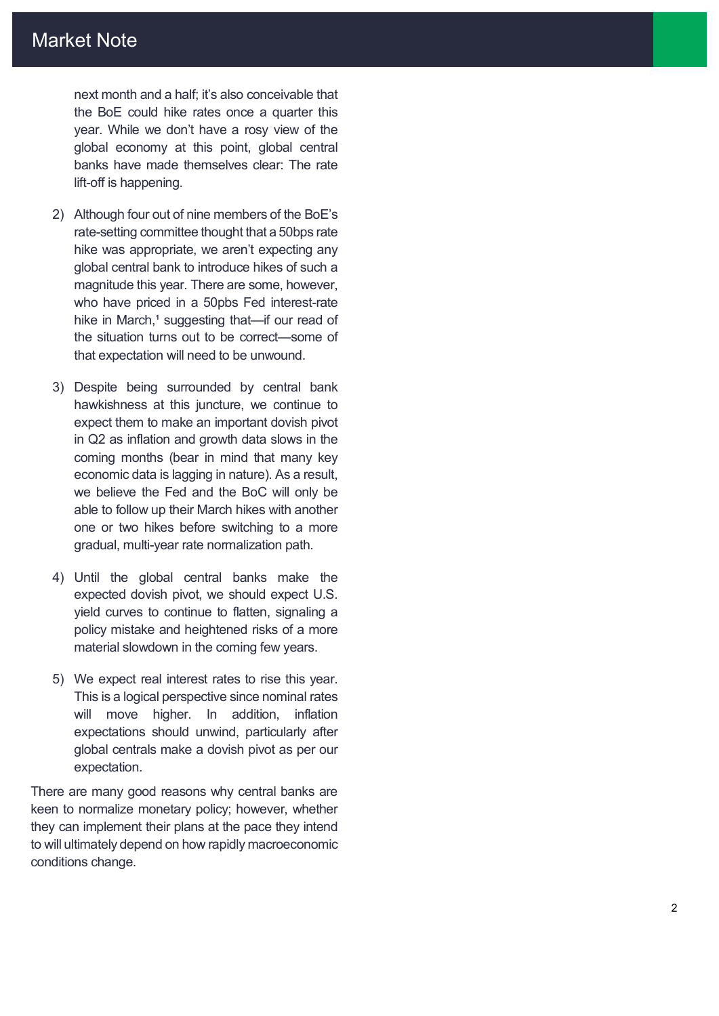next month and a half; it's also conceivable that the BoE could hike rates once a quarter this year. While we don't have a rosy view of the global economy at this point, global central banks have made themselves clear: The rate lift -off is happening.

- 2) Although four out of nine members of the BoE's rate -setting committee thought that a 50bps rate hike was appropriate, we aren't expecting any global central bank to introduce hikes of such a magnitude this year. There are some, however, who have priced in a 50pbs Fed interest -rate hike in March,<sup>1</sup> suggesting that—if our read of the situation turns out to be correct—some of that expectation will need to be unwound.
- 3) Despite being surrounded by central bank hawkishness at this juncture, we continue to expect them to make an important dovish pivot in Q2 as inflation and growth data slows in the coming months (bear in mind that many key economic data is lagging in nature). As a result, we believe the Fed and the BoC will only be able to follow up their March hikes with another one or two hikes before switching to a more gradual, multi -year rate normalization path.
- 4) Until the global central banks make the expected dovish pivot, we should expect U.S. yield curves to continue to flatten, signaling a policy mistake and heightened risks of a more material slowdown in the coming few years.
- 5) We expect real interest rates to rise this year. This is a logical perspective since nominal rates will move higher. In addition, inflation expectations should unwind, particularly after global centrals make a dovish pivot as per our expectation.

There are many good reasons why central banks are keen to normalize monetary policy; however, whether they can implement their plans at the pace they intend to will ultimately depend on how rapidly macroeconomic conditions change.